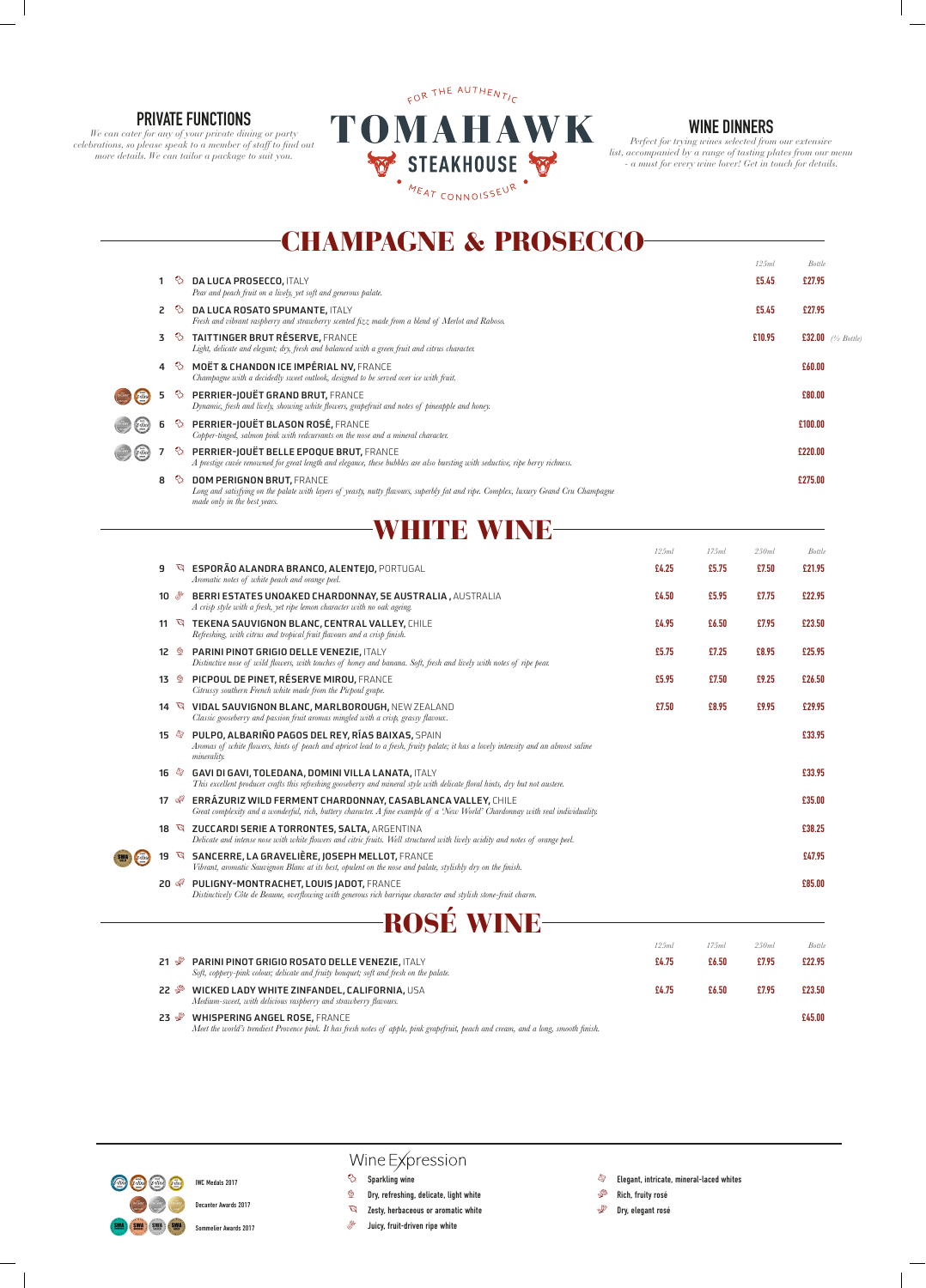# CHAMPAGNE & PROSECCO

|    |                           |                                                                                                                                                                                                                               |       |       | 125ml  | <b>Bottle</b> |                       |
|----|---------------------------|-------------------------------------------------------------------------------------------------------------------------------------------------------------------------------------------------------------------------------|-------|-------|--------|---------------|-----------------------|
| 1. |                           | $\Diamond$ DA LUCA PROSECCO, ITALY<br>Pear and peach fruit on a lively, yet soft and generous palate.                                                                                                                         |       |       | £5.45  | £27.95        |                       |
|    |                           | 2 & DA LUCA ROSATO SPUMANTE, ITALY<br>Fresh and vibrant raspberry and strawberry scented fizz made from a blend of Merlot and Raboso.                                                                                         |       |       | £5.45  | £27.95        |                       |
| 3  |                           | <b>&amp; TAITTINGER BRUT RÉSERVE, FRANCE</b><br>Light, delicate and elegant; dry, fresh and balanced with a green fruit and citrus character.                                                                                 |       |       | £10.95 |               | £32.00 $(1/2$ Bottle) |
|    |                           | 4 % MOËT & CHANDON ICE IMPÉRIAL NV, FRANCE<br>Champagne with a decidedly sweet outlook, designed to be served over ice with fruit.                                                                                            |       |       |        | £60.00        |                       |
| 5  | $\mathcal{Q}_k$           | <b>PERRIER-JOUËT GRAND BRUT, FRANCE</b><br>Dynamic, fresh and lively, showing white flowers, grapefruit and notes of pineapple and honey.                                                                                     |       |       |        | £80.00        |                       |
|    | $\mathcal{D}_1$           | PERRIER-JOUËT BLASON ROSÉ, FRANCE<br>Copper-tinged, salmon pink with redcurrants on the nose and a mineral character.                                                                                                         |       |       |        | £100.00       |                       |
|    |                           | <b><i>S</i></b> PERRIER-JOUËT BELLE EPOQUE BRUT, FRANCE<br>A prestige cuvée renowned for great length and elegance, these bubbles are also bursting with seductive, ripe berry richness.                                      |       |       |        | £220.00       |                       |
| 8  | $\Diamond$                | <b>DOM PERIGNON BRUT, FRANCE</b><br>Long and satisfying on the palate with layers of yeasty, nutty flavours, superbly fat and ripe. Complex, luxury Grand Cru Champagne<br>made only in the best years.                       |       |       |        | £275.00       |                       |
|    |                           | <b>WHITE WINE</b>                                                                                                                                                                                                             |       |       |        |               |                       |
|    |                           |                                                                                                                                                                                                                               | 125ml | 175ml | 250ml  | <b>Bottle</b> |                       |
| 9  |                           | ESPORÃO ALANDRA BRANCO, ALENTEJO, PORTUGAL<br>Aromatic notes of white peach and orange peel.                                                                                                                                  | £4.25 | £5.75 | £7.50  | £21.95        |                       |
|    |                           | BERRI ESTATES UNOAKED CHARDONNAY, SE AUSTRALIA, AUSTRALIA<br>A crisp style with a fresh, yet ripe lemon character with no oak ageing.                                                                                         | £4.50 | £5.95 | £7.75  | £22.95        |                       |
|    |                           | 11 \ TEKENA SAUVIGNON BLANC, CENTRAL VALLEY, CHILE<br>Refreshing, with citrus and tropical fruit flavours and a crisp finish.                                                                                                 | £4.95 | £6.50 | £7.95  | £23.50        |                       |
|    | 12 业                      | PARINI PINOT GRIGIO DELLE VENEZIE, ITALY<br>Distinctive nose of wild flowers, with touches of honey and banana. Soft, fresh and lively with notes of ripe pear.                                                               | £5.75 | £7.25 | £8.95  | £25.95        |                       |
|    | 13 型                      | PICPOUL DE PINET, RÉSERVE MIROU, FRANCE<br>Citrussy southern French white made from the Picpoul grape.                                                                                                                        | £5.95 | £7.50 | £9.25  | £26.50        |                       |
|    |                           | 14 W VIDAL SAUVIGNON BLANC, MARLBOROUGH, NEW ZEALAND<br>Classic gooseberry and passion fruit aromas mingled with a crisp, grassy flavour                                                                                      | £7.50 | £8.95 | £9.95  | £29.95        |                       |
|    |                           | 15 <sup>3</sup> PULPO, ALBARIÑO PAGOS DEL REY, RÍAS BAIXAS, SPAIN<br>Aromas of white flowers, hints of peach and apricot lead to a fresh, fruity palate; it has a lovely intensity and an almost saline<br><i>minerality.</i> |       |       |        | £33.95        |                       |
|    | $16 \; \triangleleft$     | <b>GAVI DI GAVI, TOLEDANA, DOMINI VILLA LANATA, ITALY</b><br>This excellent producer crafts this refreshing gooseberry and mineral style with delicate floral hints, dry but not austere.                                     |       |       |        | £33.95        |                       |
|    | $17 \text{ } \sqrt[3]{5}$ | ERRÁZURIZ WILD FERMENT CHARDONNAY, CASABLANCA VALLEY, CHILE<br>Great complexity and a wonderful, rich, buttery character. A fine example of a 'New World' Chardonnay with real individuality.                                 |       |       |        | £35.00        |                       |
|    |                           | 18 & ZUCCARDI SERIE A TORRONTES, SALTA, ARGENTINA<br>Delicate and intense nose with white flowers and citric fruits. Well structured with lively acidity and notes of orange peel.                                            |       |       |        | £38.25        |                       |
|    |                           | 19 SANCERRE, LA GRAVELIÈRE, JOSEPH MELLOT, FRANCE<br>Vibrant, aromatic Sauvignon Blanc at its best, opulent on the nose and palate, stylishly dry on the finish.                                                              |       |       |        | £47.95        |                       |
|    | $20 \sqrt{3}$             | PULIGNY-MONTRACHET, LOUIS JADOT, FRANCE<br>Distinctively Côte de Beaune, overflowing with generous rich barrique character and stylish stone-fruit charm.                                                                     |       |       |        | £85.00        |                       |
|    |                           |                                                                                                                                                                                                                               |       |       |        |               |                       |



|                                                                                                                                                                                                 | 125ml | 175ml | 250ml | Bottle |
|-------------------------------------------------------------------------------------------------------------------------------------------------------------------------------------------------|-------|-------|-------|--------|
| <b>PARINI PINOT GRIGIO ROSATO DELLE VENEZIE, ITALY</b><br>21 ชั∕<br>Soft, coppery-pink colour; delicate and fruity bouquet; soft and fresh on the palate.                                       | £4.75 | £6.50 | £7.95 | £22.95 |
| WICKED LADY WHITE ZINFANDEL, CALIFORNIA, USA<br>22 ళి<br>Medium-sweet, with delicious raspberry and strawberry flavours.                                                                        | £4.75 | £6.50 | £7.95 | £23.50 |
| <b>WHISPERING ANGEL ROSE, FRANCE</b><br>23 $\mathscr{L}$<br>Meet the world's trendiest Provence pink. It has fresh notes of apple, pink grapefruit, peach and cream, and a long, smooth finish. |       |       |       | £45.00 |

### **PRIVATE FUNCTIONS**

*We can cater for any of your private dining or party celebrations, so please speak to a member of staff to find out more details. We can tailor a package to suit you.*



### **WINE DINNERS**

*Perfect for trying wines selected from our extensive list, accompanied by a range of tasting plates from our menu - a must for every wine lover! Get in touch for details.*



## Wine Expression

- $\Diamond$  Sparkling wine
- $\mathbb{P}$  Dry, refreshing, delicate, light white
- **B** Zesty, herbaceous or aromatic white
- $\mathcal{F}$  Juicy, fruit-driven ripe white
- $\otimes$  Elegant, intricate, mineral-laced whites
- $\mathscr{F}$  Rich, fruity rosé
- $\mathscr{L}$  Dry, elegant rosé